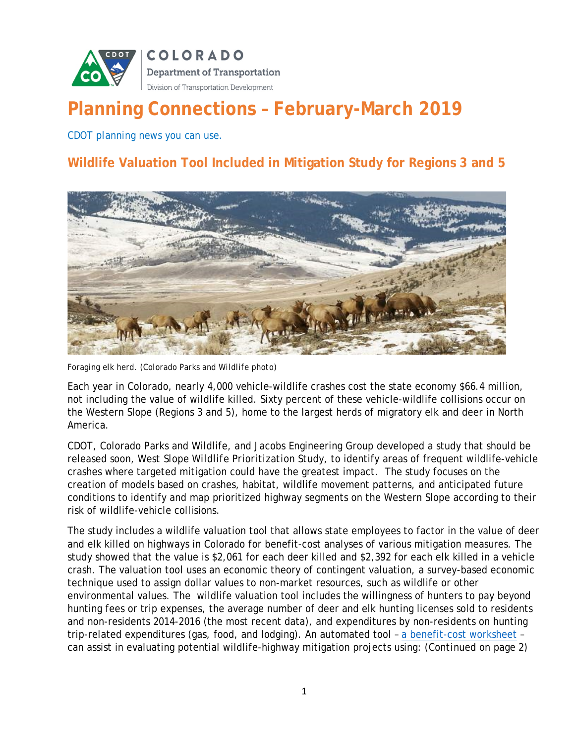

# **Planning Connections – February-March 2019**

*CDOT planning news you can use.*

## **Wildlife Valuation Tool Included in Mitigation Study for Regions 3 and 5**



*Foraging elk herd. (Colorado Parks and Wildlife photo)*

Each year in Colorado, nearly 4,000 vehicle-wildlife crashes cost the state economy \$66.4 million, not including the value of wildlife killed. Sixty percent of these vehicle-wildlife collisions occur on the Western Slope (Regions 3 and 5), home to the largest herds of migratory elk and deer in North America.

CDOT, Colorado Parks and Wildlife, and Jacobs Engineering Group developed a study that should be released soon, *West Slope Wildlife Prioritization Study*, to identify areas of frequent wildlife-vehicle crashes where targeted mitigation could have the greatest impact. The study focuses on the creation of models based on crashes, habitat, wildlife movement patterns, and anticipated future conditions to identify and map prioritized highway segments on the Western Slope according to their risk of wildlife-vehicle collisions.

The study includes a wildlife valuation tool that allows state employees to factor in the value of deer and elk killed on highways in Colorado for benefit-cost analyses of various mitigation measures. The study showed that the value is \$2,061 for each deer killed and \$2,392 for each elk killed in a vehicle crash. The valuation tool uses an economic theory of contingent valuation, a survey-based economic technique used to assign dollar values to non-market resources, such as wildlife or other environmental values. The wildlife valuation tool includes the willingness of hunters to pay beyond hunting fees or trip expenses, the average number of deer and elk hunting licenses sold to residents and non-residents 2014-2016 (the most recent data), and expenditures by non-residents on hunting trip-related expenditures (gas, food, and lodging). An automated tool – a benefit-cost worksheet – can assist in evaluating potential wildlife-highway mitigation projects using: (*Continued on page 2)*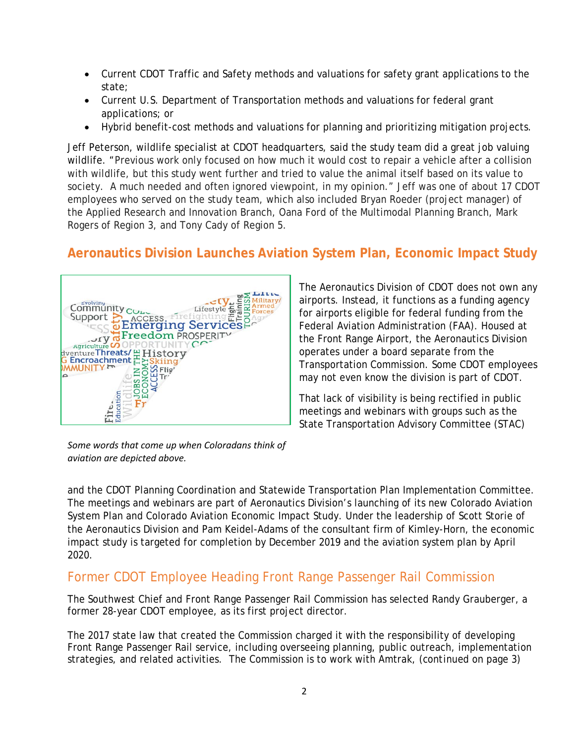- Current CDOT Traffic and Safety methods and valuations for safety grant applications to the state;
- Current U.S. Department of Transportation methods and valuations for federal grant applications; or
- Hybrid benefit-cost methods and valuations for planning and prioritizing mitigation projects.

Jeff Peterson, wildlife specialist at CDOT headquarters, said the study team did a great job valuing wildlife. "Previous work only focused on how much it would cost to repair a vehicle after a collision with wildlife, but this study went further and tried to value the animal itself based on its value to society. A much needed and often ignored viewpoint, in my opinion." Jeff was one of about 17 CDOT employees who served on the study team, which also included Bryan Roeder (project manager) of the Applied Research and Innovation Branch, Oana Ford of the Multimodal Planning Branch, Mark Rogers of Region 3, and Tony Cady of Region 5.

# **Aeronautics Division Launches Aviation System Plan, Economic Impact Study**



The Aeronautics Division of CDOT does not own any airports. Instead, it functions as a funding agency for airports eligible for federal funding from the Federal Aviation Administration (FAA). Housed at the Front Range Airport, the Aeronautics Division operates under a board separate from the Transportation Commission. Some CDOT employees may not even know the division is part of CDOT.

That lack of visibility is being rectified in public meetings and webinars with groups such as the State Transportation Advisory Committee (STAC)

*Some words that come up when Coloradans think of aviation are depicted above.*

and the CDOT Planning Coordination and Statewide Transportation Plan Implementation Committee. The meetings and webinars are part of Aeronautics Division's launching of its new Colorado Aviation System Plan and Colorado Aviation Economic Impact Study. Under the leadership of Scott Storie of the Aeronautics Division and Pam Keidel-Adams of the consultant firm of Kimley-Horn, the economic impact study is targeted for completion by December 2019 and the aviation system plan by April 2020.

### Former CDOT Employee Heading Front Range Passenger Rail Commission

The Southwest Chief and Front Range Passenger Rail Commission has selected Randy Grauberger, a former 28-year CDOT employee, as its first project director.

The 2017 state law that created the Commission charged it with the responsibility of developing Front Range Passenger Rail service, including overseeing planning, public outreach, implementation strategies, and related activities. The Commission is to work with Amtrak, (*continued on page 3*)